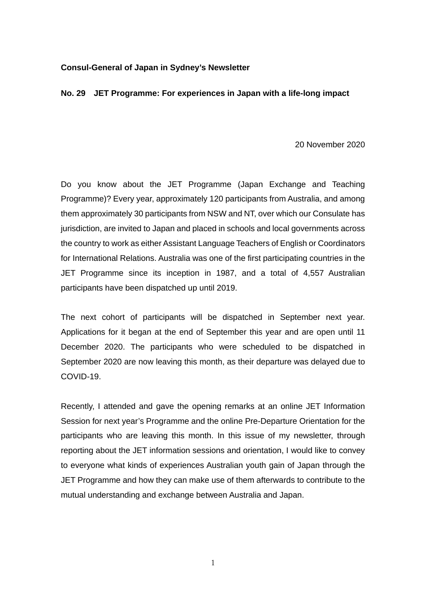## **Consul-General of Japan in Sydney's Newsletter**

## **No. 29 JET Programme: For experiences in Japan with a life-long impact**

20 November 2020

Do you know about the JET Programme (Japan Exchange and Teaching Programme)? Every year, approximately 120 participants from Australia, and among them approximately 30 participants from NSW and NT, over which our Consulate has jurisdiction, are invited to Japan and placed in schools and local governments across the country to work as either Assistant Language Teachers of English or Coordinators for International Relations. Australia was one of the first participating countries in the JET Programme since its inception in 1987, and a total of 4,557 Australian participants have been dispatched up until 2019.

The next cohort of participants will be dispatched in September next year. Applications for it began at the end of September this year and are open until 11 December 2020. The participants who were scheduled to be dispatched in September 2020 are now leaving this month, as their departure was delayed due to COVID-19.

Recently, I attended and gave the opening remarks at an online JET Information Session for next year's Programme and the online Pre-Departure Orientation for the participants who are leaving this month. In this issue of my newsletter, through reporting about the JET information sessions and orientation, I would like to convey to everyone what kinds of experiences Australian youth gain of Japan through the JET Programme and how they can make use of them afterwards to contribute to the mutual understanding and exchange between Australia and Japan.

1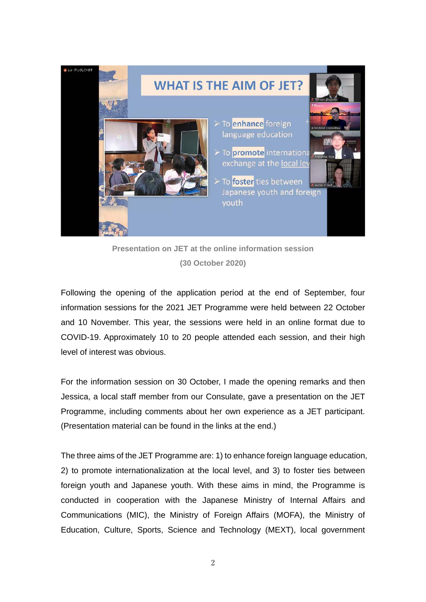

**Presentation on JET at the online information session (30 October 2020)**

Following the opening of the application period at the end of September, four information sessions for the 2021 JET Programme were held between 22 October and 10 November. This year, the sessions were held in an online format due to COVID-19. Approximately 10 to 20 people attended each session, and their high level of interest was obvious.

For the information session on 30 October, I made the opening remarks and then Jessica, a local staff member from our Consulate, gave a presentation on the JET Programme, including comments about her own experience as a JET participant. (Presentation material can be found in the links at the end.)

The three aims of the JET Programme are: 1) to enhance foreign language education, 2) to promote internationalization at the local level, and 3) to foster ties between foreign youth and Japanese youth. With these aims in mind, the Programme is conducted in cooperation with the Japanese Ministry of Internal Affairs and Communications (MIC), the Ministry of Foreign Affairs (MOFA), the Ministry of Education, Culture, Sports, Science and Technology (MEXT), local government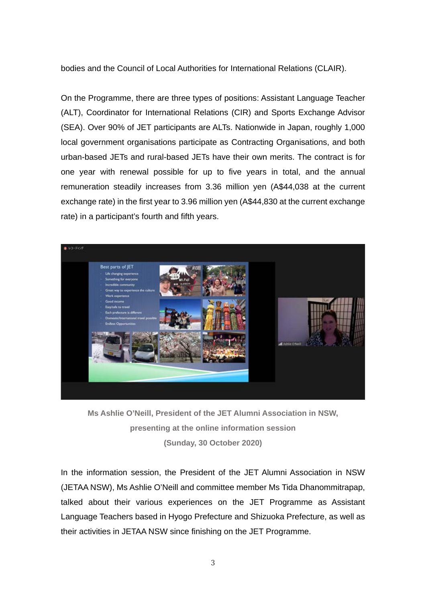bodies and the Council of Local Authorities for International Relations (CLAIR).

On the Programme, there are three types of positions: Assistant Language Teacher (ALT), Coordinator for International Relations (CIR) and Sports Exchange Advisor (SEA). Over 90% of JET participants are ALTs. Nationwide in Japan, roughly 1,000 local government organisations participate as Contracting Organisations, and both urban-based JETs and rural-based JETs have their own merits. The contract is for one year with renewal possible for up to five years in total, and the annual remuneration steadily increases from 3.36 million yen (A\$44,038 at the current exchange rate) in the first year to 3.96 million yen (A\$44,830 at the current exchange rate) in a participant's fourth and fifth years.



**Ms Ashlie O'Neill, President of the JET Alumni Association in NSW, presenting at the online information session (Sunday, 30 October 2020)**

In the information session, the President of the JET Alumni Association in NSW (JETAA NSW), Ms Ashlie O'Neill and committee member Ms Tida Dhanommitrapap, talked about their various experiences on the JET Programme as Assistant Language Teachers based in Hyogo Prefecture and Shizuoka Prefecture, as well as their activities in JETAA NSW since finishing on the JET Programme.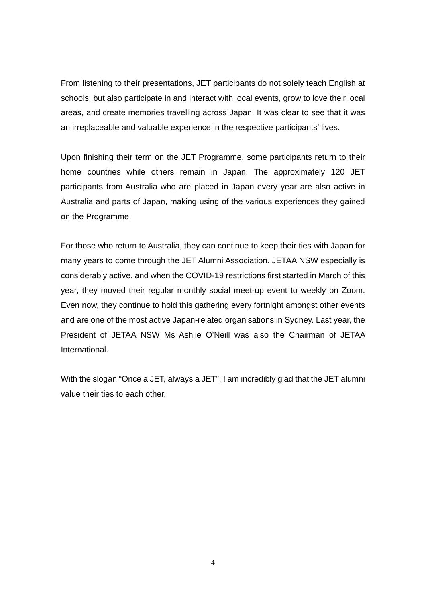From listening to their presentations, JET participants do not solely teach English at schools, but also participate in and interact with local events, grow to love their local areas, and create memories travelling across Japan. It was clear to see that it was an irreplaceable and valuable experience in the respective participants' lives.

Upon finishing their term on the JET Programme, some participants return to their home countries while others remain in Japan. The approximately 120 JET participants from Australia who are placed in Japan every year are also active in Australia and parts of Japan, making using of the various experiences they gained on the Programme.

For those who return to Australia, they can continue to keep their ties with Japan for many years to come through the JET Alumni Association. JETAA NSW especially is considerably active, and when the COVID-19 restrictions first started in March of this year, they moved their regular monthly social meet-up event to weekly on Zoom. Even now, they continue to hold this gathering every fortnight amongst other events and are one of the most active Japan-related organisations in Sydney. Last year, the President of JETAA NSW Ms Ashlie O'Neill was also the Chairman of JETAA International.

With the slogan "Once a JET, always a JET", I am incredibly glad that the JET alumni value their ties to each other.

4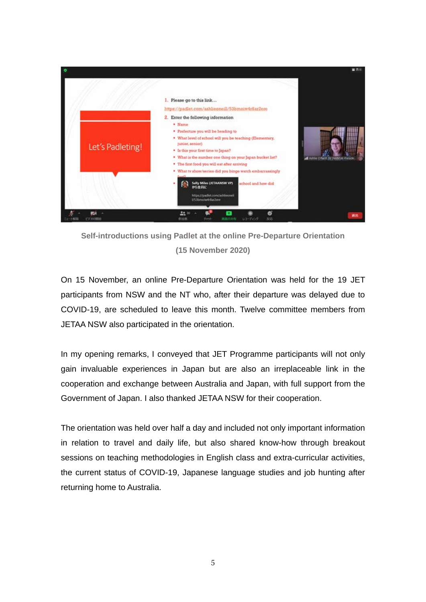

**Self-introductions using Padlet at the online Pre-Departure Orientation (15 November 2020)**

On 15 November, an online Pre-Departure Orientation was held for the 19 JET participants from NSW and the NT who, after their departure was delayed due to COVID-19, are scheduled to leave this month. Twelve committee members from JETAA NSW also participated in the orientation.

In my opening remarks, I conveyed that JET Programme participants will not only gain invaluable experiences in Japan but are also an irreplaceable link in the cooperation and exchange between Australia and Japan, with full support from the Government of Japan. I also thanked JETAA NSW for their cooperation.

The orientation was held over half a day and included not only important information in relation to travel and daily life, but also shared know-how through breakout sessions on teaching methodologies in English class and extra-curricular activities, the current status of COVID-19, Japanese language studies and job hunting after returning home to Australia.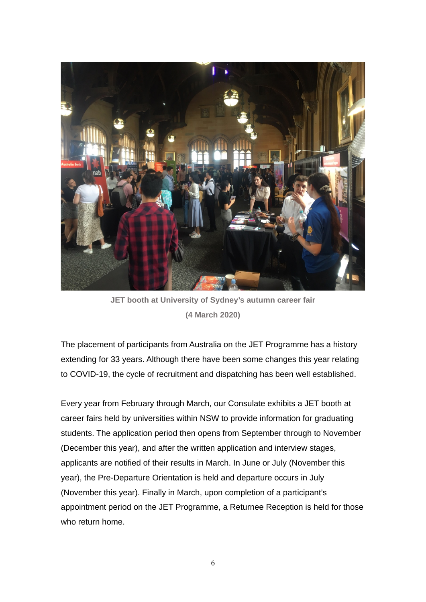

**JET booth at University of Sydney's autumn career fair (4 March 2020)**

The placement of participants from Australia on the JET Programme has a history extending for 33 years. Although there have been some changes this year relating to COVID-19, the cycle of recruitment and dispatching has been well established.

Every year from February through March, our Consulate exhibits a JET booth at career fairs held by universities within NSW to provide information for graduating students. The application period then opens from September through to November (December this year), and after the written application and interview stages, applicants are notified of their results in March. In June or July (November this year), the Pre-Departure Orientation is held and departure occurs in July (November this year). Finally in March, upon completion of a participant's appointment period on the JET Programme, a Returnee Reception is held for those who return home.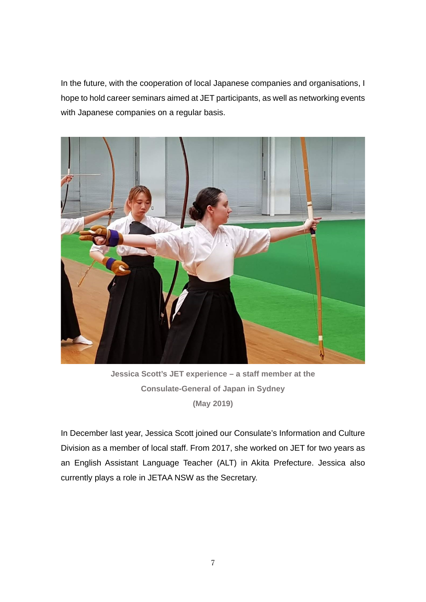In the future, with the cooperation of local Japanese companies and organisations, I hope to hold career seminars aimed at JET participants, as well as networking events with Japanese companies on a regular basis.



**Jessica Scott's JET experience – a staff member at the Consulate-General of Japan in Sydney (May 2019)**

In December last year, Jessica Scott joined our Consulate's Information and Culture Division as a member of local staff. From 2017, she worked on JET for two years as an English Assistant Language Teacher (ALT) in Akita Prefecture. Jessica also currently plays a role in JETAA NSW as the Secretary.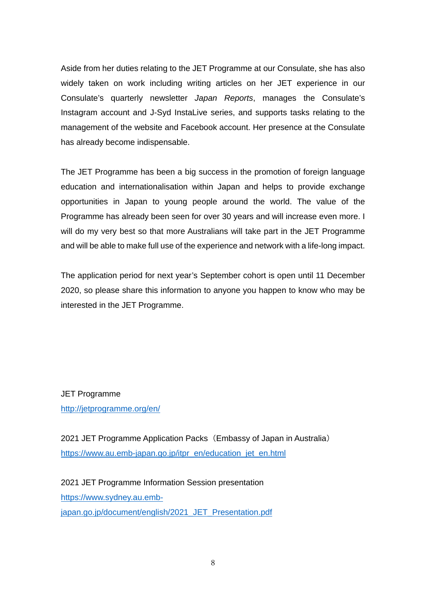Aside from her duties relating to the JET Programme at our Consulate, she has also widely taken on work including writing articles on her JET experience in our Consulate's quarterly newsletter *Japan Reports*, manages the Consulate's Instagram account and J-Syd InstaLive series, and supports tasks relating to the management of the website and Facebook account. Her presence at the Consulate has already become indispensable.

The JET Programme has been a big success in the promotion of foreign language education and internationalisation within Japan and helps to provide exchange opportunities in Japan to young people around the world. The value of the Programme has already been seen for over 30 years and will increase even more. I will do my very best so that more Australians will take part in the JET Programme and will be able to make full use of the experience and network with a life-long impact.

The application period for next year's September cohort is open until 11 December 2020, so please share this information to anyone you happen to know who may be interested in the JET Programme.

JET Programme <http://jetprogramme.org/en/>

2021 JET Programme Application Packs (Embassy of Japan in Australia) [https://www.au.emb-japan.go.jp/itpr\\_en/education\\_jet\\_en.html](https://www.au.emb-japan.go.jp/itpr_en/education_jet_en.html)

2021 JET Programme Information Session presentation [https://www.sydney.au.emb](https://www.sydney.au.emb-japan.go.jp/document/english/2021_JET_Presentation.pdf)[japan.go.jp/document/english/2021\\_JET\\_Presentation.pdf](https://www.sydney.au.emb-japan.go.jp/document/english/2021_JET_Presentation.pdf)